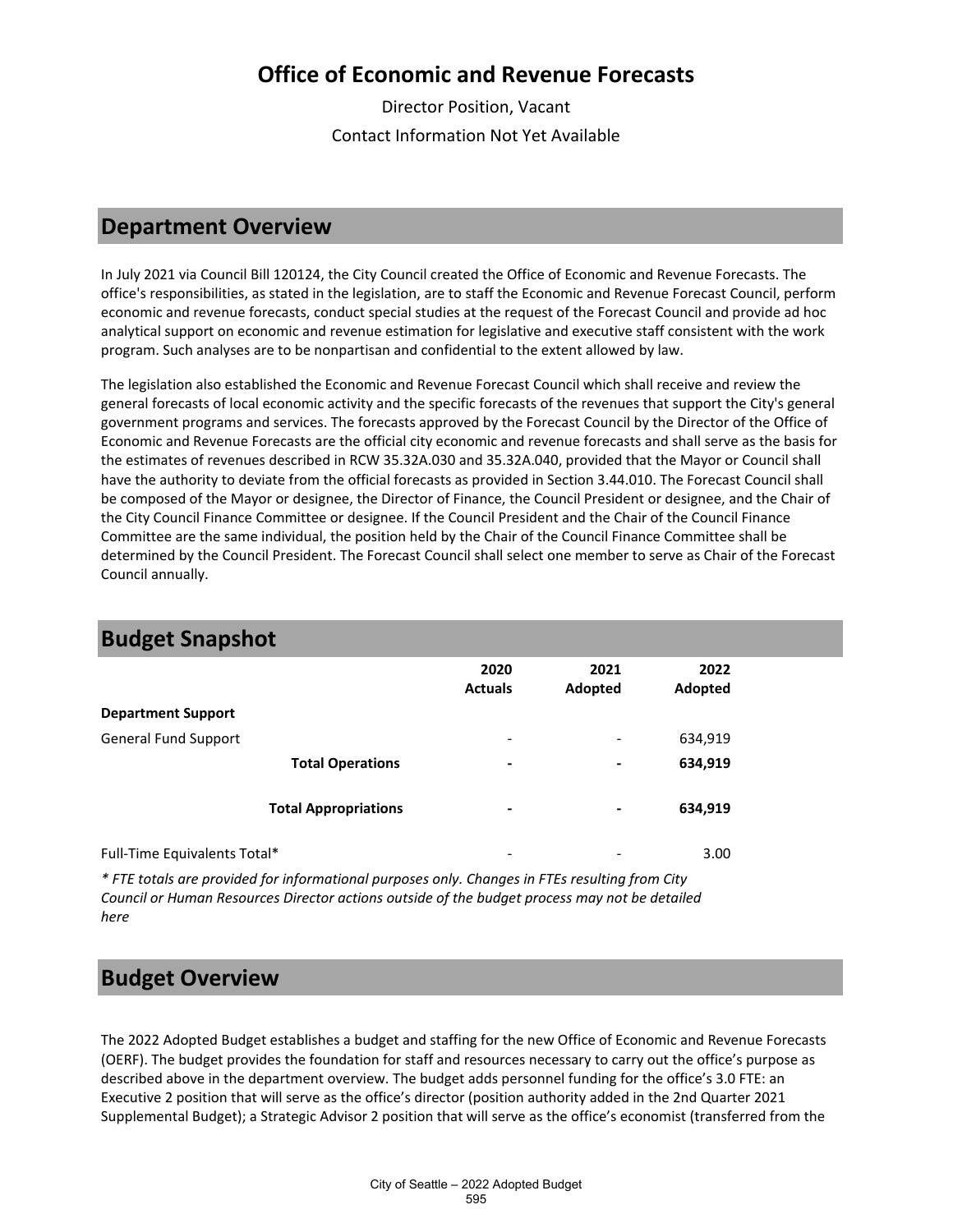## **Office of Economic and Revenue Forecasts**

Director Position, Vacant Contact Information Not Yet Available

#### **Department Overview**

In July 2021 via Council Bill 120124, the City Council created the Office of Economic and Revenue Forecasts. The office's responsibilities, as stated in the legislation, are to staff the Economic and Revenue Forecast Council, perform economic and revenue forecasts, conduct special studies at the request of the Forecast Council and provide ad hoc analytical support on economic and revenue estimation for legislative and executive staff consistent with the work program. Such analyses are to be nonpartisan and confidential to the extent allowed by law.

The legislation also established the Economic and Revenue Forecast Council which shall receive and review the general forecasts of local economic activity and the specific forecasts of the revenues that support the City's general government programs and services. The forecasts approved by the Forecast Council by the Director of the Office of Economic and Revenue Forecasts are the official city economic and revenue forecasts and shall serve as the basis for the estimates of revenues described in RCW 35.32A.030 and 35.32A.040, provided that the Mayor or Council shall have the authority to deviate from the official forecasts as provided in Section 3.44.010. The Forecast Council shall be composed of the Mayor or designee, the Director of Finance, the Council President or designee, and the Chair of the City Council Finance Committee or designee. If the Council President and the Chair of the Council Finance Committee are the same individual, the position held by the Chair of the Council Finance Committee shall be determined by the Council President. The Forecast Council shall select one member to serve as Chair of the Forecast Council annually.

| <b>Budget Shapshot</b>       |                             |                              |                          |                 |  |
|------------------------------|-----------------------------|------------------------------|--------------------------|-----------------|--|
|                              |                             | 2020<br><b>Actuals</b>       | 2021<br>Adopted          | 2022<br>Adopted |  |
| <b>Department Support</b>    |                             |                              |                          |                 |  |
| <b>General Fund Support</b>  |                             | ۰                            | $\overline{\phantom{a}}$ | 634,919         |  |
|                              | <b>Total Operations</b>     | $\blacksquare$               | $\blacksquare$           | 634,919         |  |
|                              | <b>Total Appropriations</b> | $\,$                         | ٠                        | 634,919         |  |
| Full-Time Equivalents Total* |                             | $\qquad \qquad \blacksquare$ |                          | 3.00            |  |

# **Budget Snapshott**

*\* FTE totals are provided for informational purposes only. Changes in FTEs resulting from City Council or Human Resources Director actions outside of the budget process may not be detailed here*

### **Budget Overview**

The 2022 Adopted Budget establishes a budget and staffing for the new Office of Economic and Revenue Forecasts (OERF). The budget provides the foundation for staff and resources necessary to carry out the office's purpose as described above in the department overview. The budget adds personnel funding for the office's 3.0 FTE: an Executive 2 position that will serve as the office's director (position authority added in the 2nd Quarter 2021 Supplemental Budget); a Strategic Advisor 2 position that will serve as the office's economist (transferred from the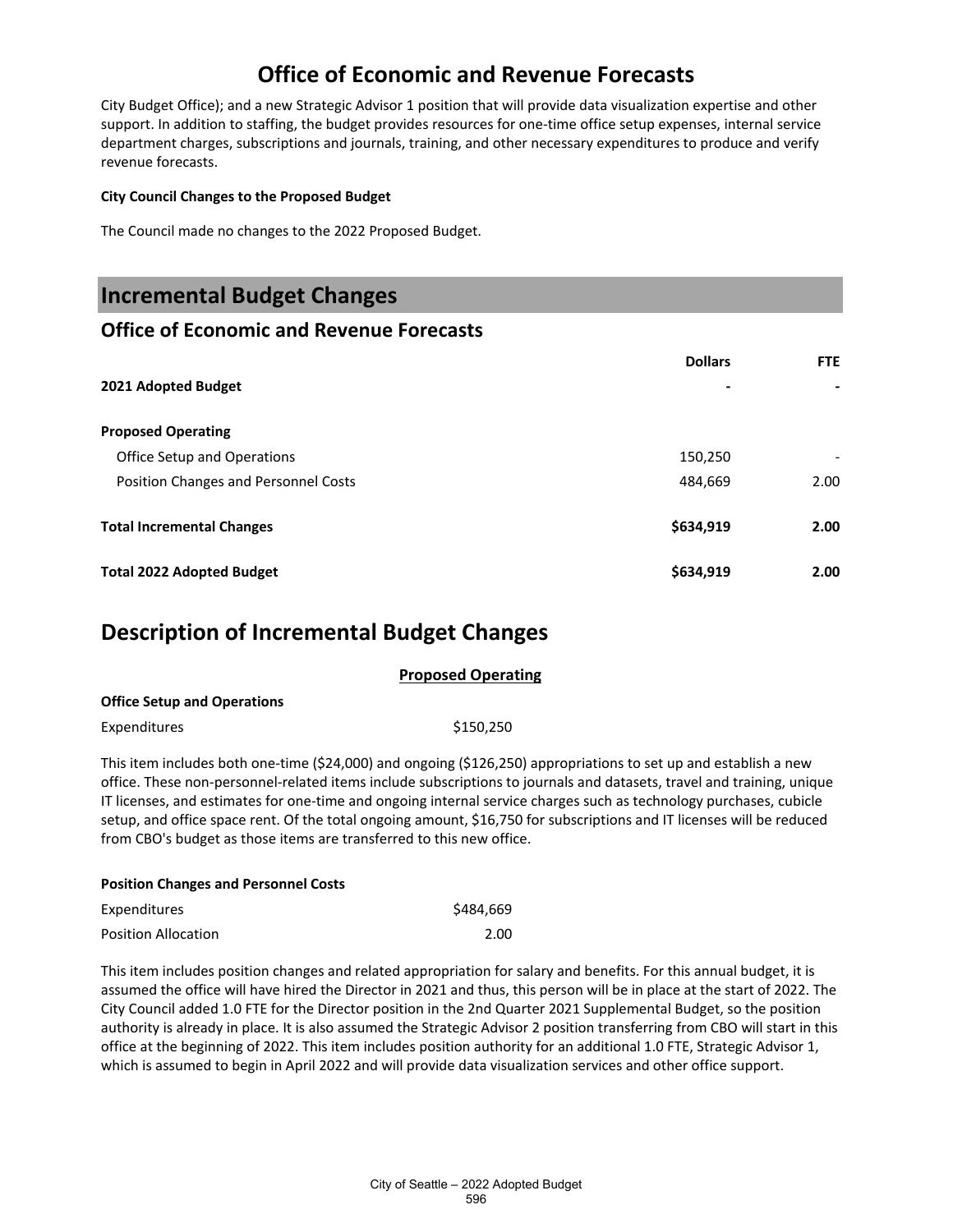## **Office of Economic and Revenue Forecasts**

City Budget Office); and a new Strategic Advisor 1 position that will provide data visualization expertise and other support. In addition to staffing, the budget provides resources for one-time office setup expenses, internal service department charges, subscriptions and journals, training, and other necessary expenditures to produce and verify revenue forecasts.

#### **City Council Changes to the Proposed Budget**

The Council made no changes to the 2022 Proposed Budget.

## **Incremental Budget Changes**

#### **Office of Economic and Revenue Forecasts**

|                                      | <b>Dollars</b> | <b>FTE</b> |
|--------------------------------------|----------------|------------|
| 2021 Adopted Budget                  | -              |            |
| <b>Proposed Operating</b>            |                |            |
| Office Setup and Operations          | 150,250        |            |
| Position Changes and Personnel Costs | 484,669        | 2.00       |
| <b>Total Incremental Changes</b>     | \$634,919      | 2.00       |
| <b>Total 2022 Adopted Budget</b>     | \$634,919      | 2.00       |

### **Description of Incremental Budget Changes**

|                                    | <b>Proposed Operating</b> |  |
|------------------------------------|---------------------------|--|
| <b>Office Setup and Operations</b> |                           |  |
| Expenditures                       | \$150.250                 |  |

This item includes both one-time (\$24,000) and ongoing (\$126,250) appropriations to set up and establish a new office. These non-personnel-related items include subscriptions to journals and datasets, travel and training, unique IT licenses, and estimates for one-time and ongoing internal service charges such as technology purchases, cubicle setup, and office space rent. Of the total ongoing amount, \$16,750 for subscriptions and IT licenses will be reduced from CBO's budget as those items are transferred to this new office.

| <b>Position Changes and Personnel Costs</b> |           |  |  |
|---------------------------------------------|-----------|--|--|
| Expenditures                                | \$484.669 |  |  |
| <b>Position Allocation</b>                  | 2.00      |  |  |

This item includes position changes and related appropriation for salary and benefits. For this annual budget, it is assumed the office will have hired the Director in 2021 and thus, this person will be in place at the start of 2022. The City Council added 1.0 FTE for the Director position in the 2nd Quarter 2021 Supplemental Budget, so the position authority is already in place. It is also assumed the Strategic Advisor 2 position transferring from CBO will start in this office at the beginning of 2022. This item includes position authority for an additional 1.0 FTE, Strategic Advisor 1, which is assumed to begin in April 2022 and will provide data visualization services and other office support.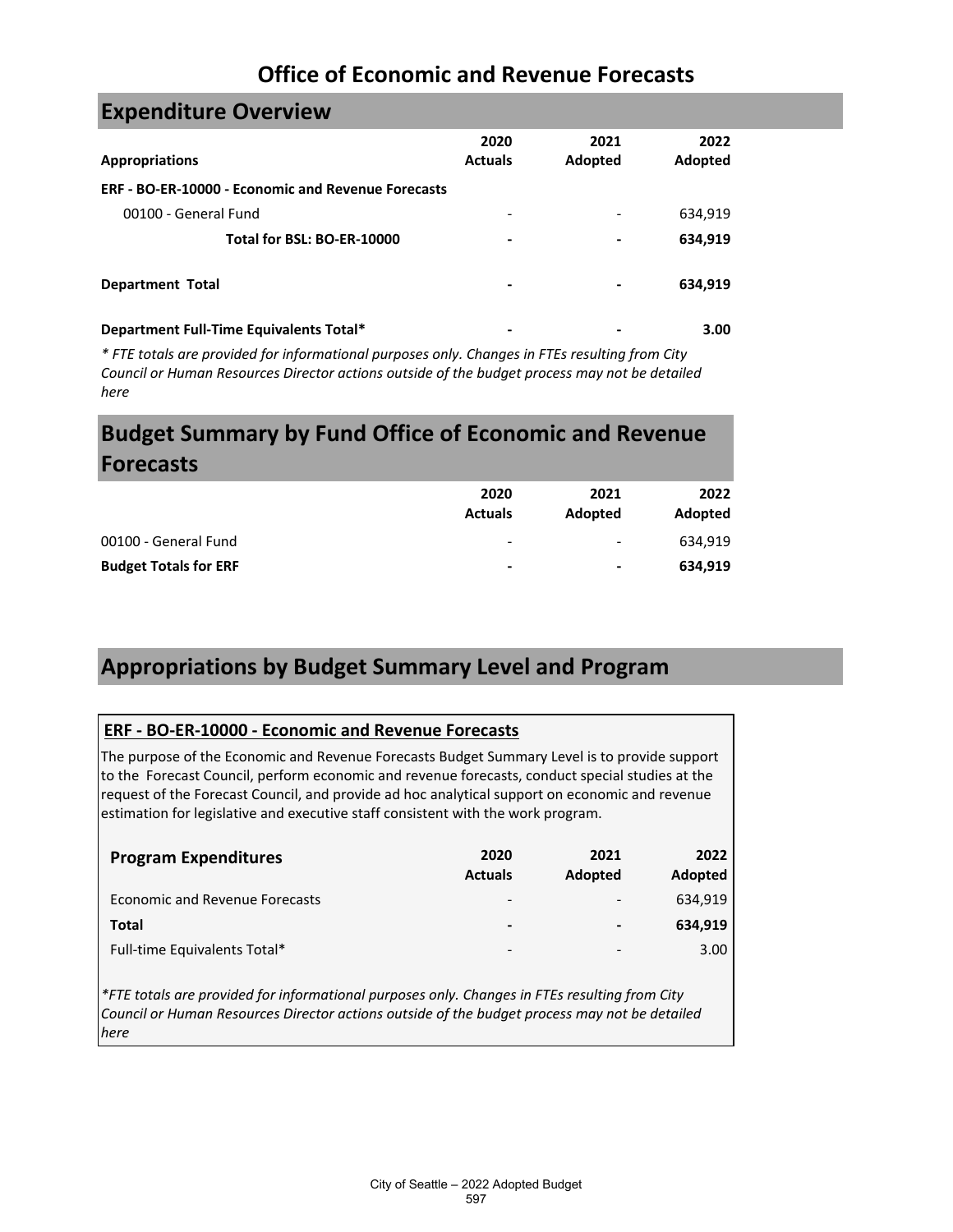## **Office of Economic and Revenue Forecasts**

## **Expenditure Overview**

| <b>Appropriations</b>                                     | 2020<br><b>Actuals</b>       | 2021<br>Adopted          | 2022<br>Adopted |
|-----------------------------------------------------------|------------------------------|--------------------------|-----------------|
| <b>ERF - BO-ER-10000 - Economic and Revenue Forecasts</b> |                              |                          |                 |
| 00100 - General Fund                                      | $\qquad \qquad \blacksquare$ | $\overline{\phantom{a}}$ | 634,919         |
| Total for BSL: BO-ER-10000                                | -                            | $\blacksquare$           | 634,919         |
| <b>Department Total</b>                                   | -                            | -                        | 634,919         |
| Department Full-Time Equivalents Total*                   | ۰                            |                          | 3.00            |

*\* FTE totals are provided for informational purposes only. Changes in FTEs resulting from City Council or Human Resources Director actions outside of the budget process may not be detailed here*

# **Budget Summary by Fund Office of Economic and Revenue Forecasts**

|                              | 2020<br><b>Actuals</b>   | 2021<br>Adopted              | 2022<br>Adopted |
|------------------------------|--------------------------|------------------------------|-----------------|
| 00100 - General Fund         | -                        | $\qquad \qquad \blacksquare$ | 634.919         |
| <b>Budget Totals for ERF</b> | $\overline{\phantom{0}}$ | $\blacksquare$               | 634.919         |

## **Appropriations by Budget Summary Level and Program**

#### **ERF - BO-ER-10000 - Economic and Revenue Forecasts**

The purpose of the Economic and Revenue Forecasts Budget Summary Level is to provide support to the Forecast Council, perform economic and revenue forecasts, conduct special studies at the request of the Forecast Council, and provide ad hoc analytical support on economic and revenue estimation for legislative and executive staff consistent with the work program.

| <b>Program Expenditures</b>    | 2020<br><b>Actuals</b>   | 2021<br>Adopted          | 2022<br>Adopted |
|--------------------------------|--------------------------|--------------------------|-----------------|
| Economic and Revenue Forecasts | $\overline{\phantom{a}}$ | $\overline{\phantom{a}}$ | 634.919         |
| Total                          | $\blacksquare$           | $\blacksquare$           | 634.919         |
| Full-time Equivalents Total*   | $\overline{\phantom{a}}$ | -                        | 3.00            |

*\*FTE totals are provided for informational purposes only. Changes in FTEs resulting from City Council or Human Resources Director actions outside of the budget process may not be detailed here*